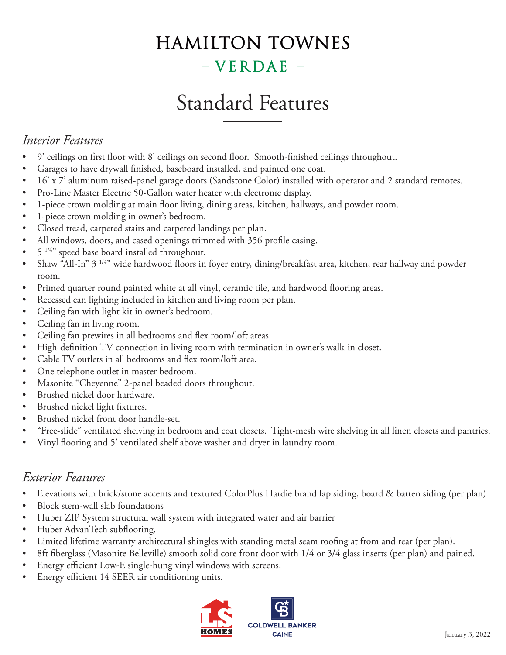# **HAMILTON TOWNES**  $-$ VERDAE $-$

# Standard Features

## *Interior Features*

- 9' ceilings on first floor with 8' ceilings on second floor. Smooth-finished ceilings throughout.
- Garages to have drywall finished, baseboard installed, and painted one coat.
- 16' x 7' aluminum raised-panel garage doors (Sandstone Color) installed with operator and 2 standard remotes.
- Pro-Line Master Electric 50-Gallon water heater with electronic display.
- 1-piece crown molding at main floor living, dining areas, kitchen, hallways, and powder room.
- 1-piece crown molding in owner's bedroom.
- Closed tread, carpeted stairs and carpeted landings per plan.
- All windows, doors, and cased openings trimmed with 356 profile casing.
- $5^{1/4}$  speed base board installed throughout.
- Shaw "All-In" 3 1/4" wide hardwood floors in foyer entry, dining/breakfast area, kitchen, rear hallway and powder room.
- Primed quarter round painted white at all vinyl, ceramic tile, and hardwood flooring areas.
- Recessed can lighting included in kitchen and living room per plan.
- Ceiling fan with light kit in owner's bedroom.
- Ceiling fan in living room.
- Ceiling fan prewires in all bedrooms and flex room/loft areas.
- High-definition TV connection in living room with termination in owner's walk-in closet.
- Cable TV outlets in all bedrooms and flex room/loft area.
- One telephone outlet in master bedroom.
- Masonite "Cheyenne" 2-panel beaded doors throughout.
- Brushed nickel door hardware.
- Brushed nickel light fixtures.
- Brushed nickel front door handle-set.
- "Free-slide" ventilated shelving in bedroom and coat closets. Tight-mesh wire shelving in all linen closets and pantries.
- Vinyl flooring and 5' ventilated shelf above washer and dryer in laundry room.

### *Exterior Features*

- Elevations with brick/stone accents and textured ColorPlus Hardie brand lap siding, board & batten siding (per plan)
- Block stem-wall slab foundations
- Huber ZIP System structural wall system with integrated water and air barrier
- Huber AdvanTech subflooring.
- Limited lifetime warranty architectural shingles with standing metal seam roofing at from and rear (per plan).
- 8ft fiberglass (Masonite Belleville) smooth solid core front door with 1/4 or 3/4 glass inserts (per plan) and pained.
- Energy efficient Low-E single-hung vinyl windows with screens.
- Energy efficient 14 SEER air conditioning units.